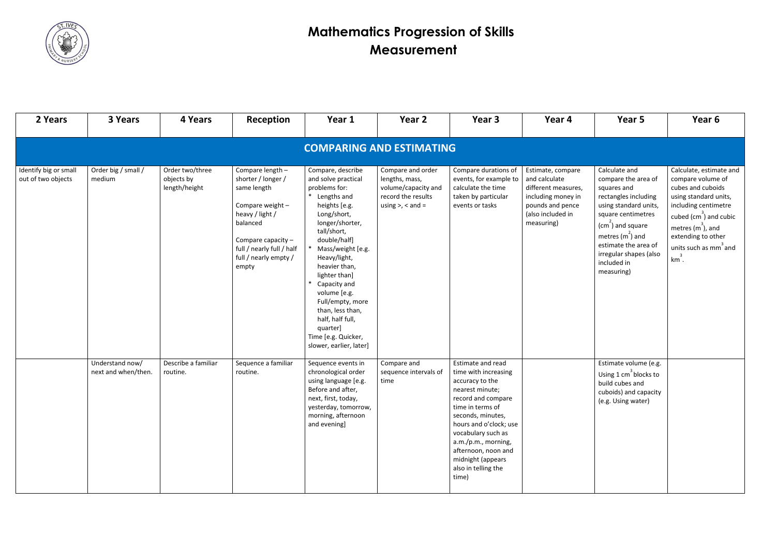

| 2 Years                                     | 3 Years                                | 4 Years                                        | Reception                                                                                                                                                                                       | Year 1                                                                                                                                                                                                                                                                                                                                                                                        | Year 2                                                                                                      | Year 3                                                                                                                                                                                                                                                                                            | Year 4                                                                                                                                 | Year 5                                                                                                                                                                                                                                               | Year 6                                                                                                                                                                                                                                        |  |  |
|---------------------------------------------|----------------------------------------|------------------------------------------------|-------------------------------------------------------------------------------------------------------------------------------------------------------------------------------------------------|-----------------------------------------------------------------------------------------------------------------------------------------------------------------------------------------------------------------------------------------------------------------------------------------------------------------------------------------------------------------------------------------------|-------------------------------------------------------------------------------------------------------------|---------------------------------------------------------------------------------------------------------------------------------------------------------------------------------------------------------------------------------------------------------------------------------------------------|----------------------------------------------------------------------------------------------------------------------------------------|------------------------------------------------------------------------------------------------------------------------------------------------------------------------------------------------------------------------------------------------------|-----------------------------------------------------------------------------------------------------------------------------------------------------------------------------------------------------------------------------------------------|--|--|
| <b>COMPARING AND ESTIMATING</b>             |                                        |                                                |                                                                                                                                                                                                 |                                                                                                                                                                                                                                                                                                                                                                                               |                                                                                                             |                                                                                                                                                                                                                                                                                                   |                                                                                                                                        |                                                                                                                                                                                                                                                      |                                                                                                                                                                                                                                               |  |  |
| Identify big or small<br>out of two objects | Order big / small /<br>medium          | Order two/three<br>objects by<br>length/height | Compare length -<br>shorter / longer /<br>same length<br>Compare weight -<br>heavy / light /<br>balanced<br>Compare capacity $-$<br>full / nearly full / half<br>full / nearly empty /<br>empty | Compare, describe<br>and solve practical<br>problems for:<br>* Lengths and<br>heights [e.g.<br>Long/short,<br>longer/shorter,<br>tall/short,<br>double/half]<br>Mass/weight [e.g.<br>Heavy/light,<br>heavier than,<br>lighter than]<br>Capacity and<br>volume [e.g.<br>Full/empty, more<br>than, less than,<br>half, half full,<br>quarter]<br>Time [e.g. Quicker,<br>slower, earlier, later] | Compare and order<br>lengths, mass,<br>volume/capacity and<br>record the results<br>using $>$ , $<$ and $=$ | Compare durations of<br>events, for example to<br>calculate the time<br>taken by particular<br>events or tasks                                                                                                                                                                                    | Estimate, compare<br>and calculate<br>different measures,<br>including money in<br>pounds and pence<br>(also included in<br>measuring) | Calculate and<br>compare the area of<br>squares and<br>rectangles including<br>using standard units,<br>square centimetres<br>$(cm2)$ and square<br>metres $(m2)$ and<br>estimate the area of<br>irregular shapes (also<br>included in<br>measuring) | Calculate, estimate and<br>compare volume of<br>cubes and cuboids<br>using standard units,<br>including centimetre<br>cubed $\text{(cm}^3\text{)}$ and cubic<br>metres $(m^3)$ , and<br>extending to other<br>units such as mm and<br>$km3$ . |  |  |
|                                             | Understand now/<br>next and when/then. | Describe a familiar<br>routine.                | Sequence a familiar<br>routine.                                                                                                                                                                 | Sequence events in<br>chronological order<br>using language [e.g.<br>Before and after,<br>next, first, today,<br>yesterday, tomorrow,<br>morning, afternoon<br>and evening]                                                                                                                                                                                                                   | Compare and<br>sequence intervals of<br>time                                                                | Estimate and read<br>time with increasing<br>accuracy to the<br>nearest minute;<br>record and compare<br>time in terms of<br>seconds, minutes,<br>hours and o'clock; use<br>vocabulary such as<br>a.m./p.m., morning,<br>afternoon, noon and<br>midnight (appears<br>also in telling the<br>time) |                                                                                                                                        | Estimate volume (e.g.<br>Using $1 \text{ cm}^3$ blocks to<br>build cubes and<br>cuboids) and capacity<br>(e.g. Using water)                                                                                                                          |                                                                                                                                                                                                                                               |  |  |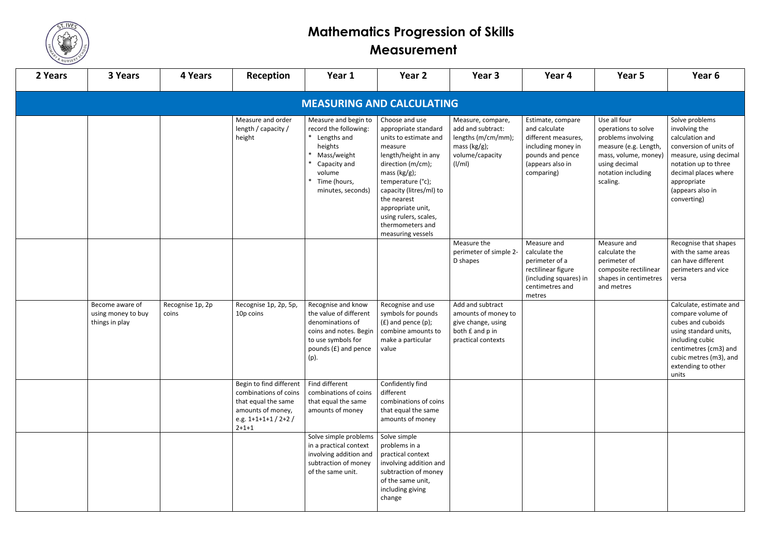

| 2 Years                          | 3 Years                                                 | 4 Years                   | <b>Reception</b>                                                                                                                   | Year 1                                                                                                                                                  | Year 2                                                                                                                                                                                                                                                                                           | Year 3                                                                                                              | Year 4                                                                                                                                | Year 5                                                                                                                                                        | Year 6                                                                                                                                                                                                   |  |
|----------------------------------|---------------------------------------------------------|---------------------------|------------------------------------------------------------------------------------------------------------------------------------|---------------------------------------------------------------------------------------------------------------------------------------------------------|--------------------------------------------------------------------------------------------------------------------------------------------------------------------------------------------------------------------------------------------------------------------------------------------------|---------------------------------------------------------------------------------------------------------------------|---------------------------------------------------------------------------------------------------------------------------------------|---------------------------------------------------------------------------------------------------------------------------------------------------------------|----------------------------------------------------------------------------------------------------------------------------------------------------------------------------------------------------------|--|
| <b>MEASURING AND CALCULATING</b> |                                                         |                           |                                                                                                                                    |                                                                                                                                                         |                                                                                                                                                                                                                                                                                                  |                                                                                                                     |                                                                                                                                       |                                                                                                                                                               |                                                                                                                                                                                                          |  |
|                                  |                                                         |                           | Measure and order<br>length / capacity /<br>height                                                                                 | Measure and begin to<br>record the following:<br>* Lengths and<br>heights<br>Mass/weight<br>Capacity and<br>volume<br>Time (hours,<br>minutes, seconds) | Choose and use<br>appropriate standard<br>units to estimate and<br>measure<br>length/height in any<br>direction (m/cm);<br>mass $(kg/g)$ ;<br>temperature (°c);<br>capacity (litres/ml) to<br>the nearest<br>appropriate unit,<br>using rulers, scales,<br>thermometers and<br>measuring vessels | Measure, compare,<br>add and subtract:<br>lengths (m/cm/mm);<br>mass $(kg/g)$ ;<br>volume/capacity<br>$\frac{1}{m}$ | Estimate, compare<br>and calculate<br>different measures,<br>including money in<br>pounds and pence<br>(appears also in<br>comparing) | Use all four<br>operations to solve<br>problems involving<br>measure (e.g. Length,<br>mass, volume, money)<br>using decimal<br>notation including<br>scaling. | Solve problems<br>involving the<br>calculation and<br>conversion of units of<br>measure, using decimal<br>notation up to three<br>decimal places where<br>appropriate<br>(appears also in<br>converting) |  |
|                                  |                                                         |                           |                                                                                                                                    |                                                                                                                                                         |                                                                                                                                                                                                                                                                                                  | Measure the<br>perimeter of simple 2-<br>D shapes                                                                   | Measure and<br>calculate the<br>perimeter of a<br>rectilinear figure<br>(including squares) in<br>centimetres and<br>metres           | Measure and<br>calculate the<br>perimeter of<br>composite rectilinear<br>shapes in centimetres<br>and metres                                                  | Recognise that shapes<br>with the same areas<br>can have different<br>perimeters and vice<br>versa                                                                                                       |  |
|                                  | Become aware of<br>using money to buy<br>things in play | Recognise 1p, 2p<br>coins | Recognise 1p, 2p, 5p,<br>10p coins                                                                                                 | Recognise and know<br>the value of different<br>denominations of<br>coins and notes. Begin<br>to use symbols for<br>pounds (£) and pence<br>(p).        | Recognise and use<br>symbols for pounds<br>$(f)$ and pence $(p)$ ;<br>combine amounts to<br>make a particular<br>value                                                                                                                                                                           | Add and subtract<br>amounts of money to<br>give change, using<br>both £ and p in<br>practical contexts              |                                                                                                                                       |                                                                                                                                                               | Calculate, estimate and<br>compare volume of<br>cubes and cuboids<br>using standard units,<br>including cubic<br>centimetres (cm3) and<br>cubic metres (m3), and<br>extending to other<br>units          |  |
|                                  |                                                         |                           | Begin to find different<br>combinations of coins<br>that equal the same<br>amounts of money,<br>e.g. $1+1+1+1/2+2/$<br>$2 + 1 + 1$ | Find different<br>combinations of coins<br>that equal the same<br>amounts of money                                                                      | Confidently find<br>different<br>combinations of coins<br>that equal the same<br>amounts of money                                                                                                                                                                                                |                                                                                                                     |                                                                                                                                       |                                                                                                                                                               |                                                                                                                                                                                                          |  |
|                                  |                                                         |                           |                                                                                                                                    | Solve simple problems<br>in a practical context<br>involving addition and<br>subtraction of money<br>of the same unit.                                  | Solve simple<br>problems in a<br>practical context<br>involving addition and<br>subtraction of money<br>of the same unit,<br>including giving<br>change                                                                                                                                          |                                                                                                                     |                                                                                                                                       |                                                                                                                                                               |                                                                                                                                                                                                          |  |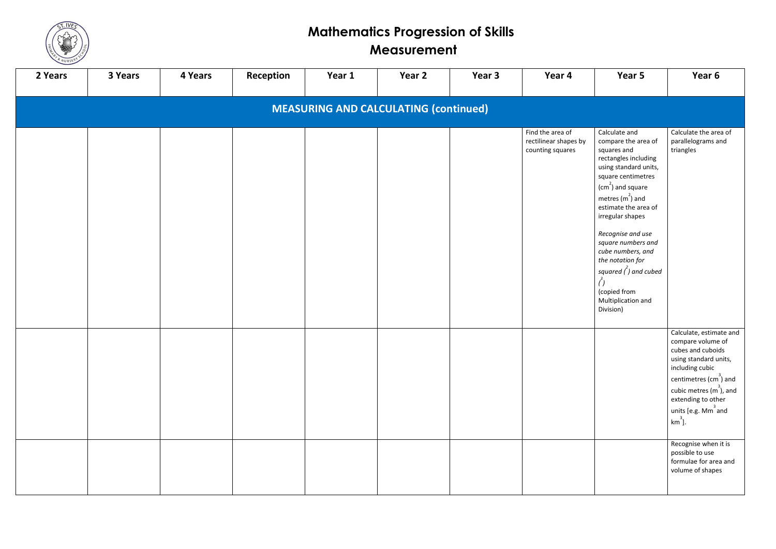

| $\overline{\phantom{0}}$<br>2 Years          | 3 Years | 4 Years | Reception | Year 1 | Year 2 | Year 3 | Year 4                                                        | Year 5                                                                                                                                                                                                                                                                                                                                                                                       | Year 6                                                                                                                                                                                                                                                              |  |
|----------------------------------------------|---------|---------|-----------|--------|--------|--------|---------------------------------------------------------------|----------------------------------------------------------------------------------------------------------------------------------------------------------------------------------------------------------------------------------------------------------------------------------------------------------------------------------------------------------------------------------------------|---------------------------------------------------------------------------------------------------------------------------------------------------------------------------------------------------------------------------------------------------------------------|--|
| <b>MEASURING AND CALCULATING (continued)</b> |         |         |           |        |        |        |                                                               |                                                                                                                                                                                                                                                                                                                                                                                              |                                                                                                                                                                                                                                                                     |  |
|                                              |         |         |           |        |        |        | Find the area of<br>rectilinear shapes by<br>counting squares | Calculate and<br>compare the area of<br>squares and<br>rectangles including<br>using standard units,<br>square centimetres<br>$(cm2)$ and square<br>metres $(m2)$ and<br>estimate the area of<br>irregular shapes<br>Recognise and use<br>square numbers and<br>cube numbers, and<br>the notation for<br>squared $\binom{2}{l}$ and cubed<br>(copied from<br>Multiplication and<br>Division) | Calculate the area of<br>parallelograms and<br>triangles                                                                                                                                                                                                            |  |
|                                              |         |         |           |        |        |        |                                                               |                                                                                                                                                                                                                                                                                                                                                                                              | Calculate, estimate and<br>compare volume of<br>cubes and cuboids<br>using standard units,<br>including cubic<br>centimetres $\text{(cm}^3\text{)}$ and<br>cubic metres $(m^3)$ , and<br>extending to other<br>$\vert$ units [e.g. Mm <sup>3</sup> and<br>$km^3$ ]. |  |
|                                              |         |         |           |        |        |        |                                                               |                                                                                                                                                                                                                                                                                                                                                                                              | Recognise when it is<br>possible to use<br>formulae for area and<br>volume of shapes                                                                                                                                                                                |  |